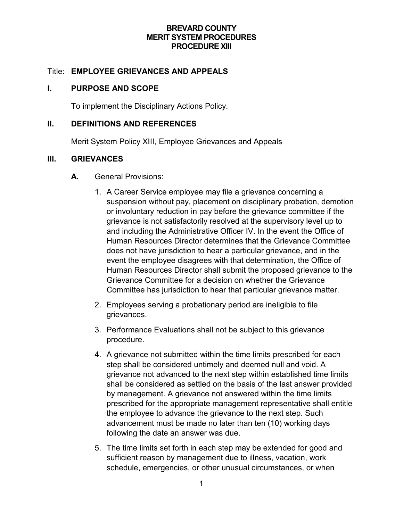#### **BREVARD COUNTY MERIT SYSTEM PROCEDURES PROCEDURE XIII**

### Title: **EMPLOYEE GRIEVANCES AND APPEALS**

### **I. PURPOSE AND SCOPE**

To implement the Disciplinary Actions Policy.

#### **II. DEFINITIONS AND REFERENCES**

Merit System Policy XIII, Employee Grievances and Appeals

### **III. GRIEVANCES**

- **A.** General Provisions:
	- 1. A Career Service employee may file a grievance concerning a suspension without pay, placement on disciplinary probation, demotion or involuntary reduction in pay before the grievance committee if the grievance is not satisfactorily resolved at the supervisory level up to and including the Administrative Officer IV. In the event the Office of Human Resources Director determines that the Grievance Committee does not have jurisdiction to hear a particular grievance, and in the event the employee disagrees with that determination, the Office of Human Resources Director shall submit the proposed grievance to the Grievance Committee for a decision on whether the Grievance Committee has jurisdiction to hear that particular grievance matter.
	- 2. Employees serving a probationary period are ineligible to file grievances.
	- 3. Performance Evaluations shall not be subject to this grievance procedure.
	- 4. A grievance not submitted within the time limits prescribed for each step shall be considered untimely and deemed null and void. A grievance not advanced to the next step within established time limits shall be considered as settled on the basis of the last answer provided by management. A grievance not answered within the time limits prescribed for the appropriate management representative shall entitle the employee to advance the grievance to the next step. Such advancement must be made no later than ten (10) working days following the date an answer was due.
	- 5. The time limits set forth in each step may be extended for good and sufficient reason by management due to illness, vacation, work schedule, emergencies, or other unusual circumstances, or when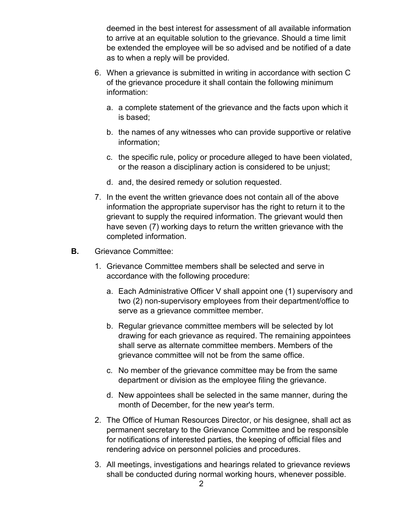deemed in the best interest for assessment of all available information to arrive at an equitable solution to the grievance. Should a time limit be extended the employee will be so advised and be notified of a date as to when a reply will be provided.

- 6. When a grievance is submitted in writing in accordance with section C of the grievance procedure it shall contain the following minimum information:
	- a. a complete statement of the grievance and the facts upon which it is based;
	- b. the names of any witnesses who can provide supportive or relative information;
	- c. the specific rule, policy or procedure alleged to have been violated, or the reason a disciplinary action is considered to be unjust;
	- d. and, the desired remedy or solution requested.
- 7. In the event the written grievance does not contain all of the above information the appropriate supervisor has the right to return it to the grievant to supply the required information. The grievant would then have seven (7) working days to return the written grievance with the completed information.
- **B.** Grievance Committee:
	- 1. Grievance Committee members shall be selected and serve in accordance with the following procedure:
		- a. Each Administrative Officer V shall appoint one (1) supervisory and two (2) non-supervisory employees from their department/office to serve as a grievance committee member.
		- b. Regular grievance committee members will be selected by lot drawing for each grievance as required. The remaining appointees shall serve as alternate committee members. Members of the grievance committee will not be from the same office.
		- c. No member of the grievance committee may be from the same department or division as the employee filing the grievance.
		- d. New appointees shall be selected in the same manner, during the month of December, for the new year's term.
	- 2. The Office of Human Resources Director, or his designee, shall act as permanent secretary to the Grievance Committee and be responsible for notifications of interested parties, the keeping of official files and rendering advice on personnel policies and procedures.
	- 3. All meetings, investigations and hearings related to grievance reviews shall be conducted during normal working hours, whenever possible.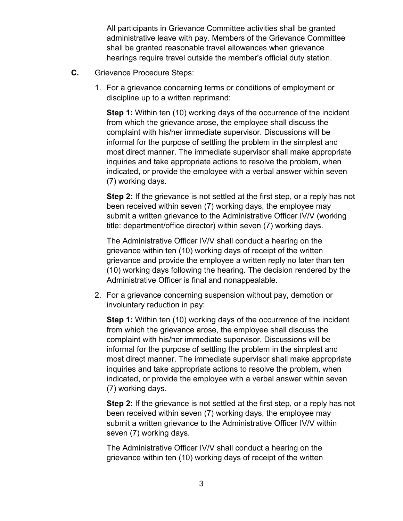All participants in Grievance Committee activities shall be granted administrative leave with pay. Members of the Grievance Committee shall be granted reasonable travel allowances when grievance hearings require travel outside the member's official duty station.

- **C.** Grievance Procedure Steps:
	- 1. For a grievance concerning terms or conditions of employment or discipline up to a written reprimand:

**Step 1:** Within ten (10) working days of the occurrence of the incident from which the grievance arose, the employee shall discuss the complaint with his/her immediate supervisor. Discussions will be informal for the purpose of settling the problem in the simplest and most direct manner. The immediate supervisor shall make appropriate inquiries and take appropriate actions to resolve the problem, when indicated, or provide the employee with a verbal answer within seven (7) working days.

**Step 2:** If the grievance is not settled at the first step, or a reply has not been received within seven (7) working days, the employee may submit a written grievance to the Administrative Officer IV/V (working title: department/office director) within seven (7) working days.

The Administrative Officer IV/V shall conduct a hearing on the grievance within ten (10) working days of receipt of the written grievance and provide the employee a written reply no later than ten (10) working days following the hearing. The decision rendered by the Administrative Officer is final and nonappealable.

2. For a grievance concerning suspension without pay, demotion or involuntary reduction in pay:

**Step 1:** Within ten (10) working days of the occurrence of the incident from which the grievance arose, the employee shall discuss the complaint with his/her immediate supervisor. Discussions will be informal for the purpose of settling the problem in the simplest and most direct manner. The immediate supervisor shall make appropriate inquiries and take appropriate actions to resolve the problem, when indicated, or provide the employee with a verbal answer within seven (7) working days.

**Step 2:** If the grievance is not settled at the first step, or a reply has not been received within seven (7) working days, the employee may submit a written grievance to the Administrative Officer IV/V within seven (7) working days.

The Administrative Officer IV/V shall conduct a hearing on the grievance within ten (10) working days of receipt of the written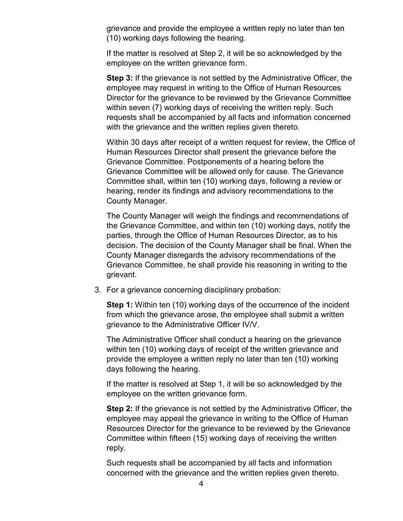grievance and provide the employee a written reply no later than ten (10) working days following the hearing.

If the matter is resolved at Step 2, it will be so acknowledged by the employee on the written grievance form.

**Step 3:** If the grievance is not settled by the Administrative Officer, the employee may request in writing to the Office of Human Resources Director for the grievance to be reviewed by the Grievance Committee within seven (7) working days of receiving the written reply. Such requests shall be accompanied by all facts and information concerned with the grievance and the written replies given thereto.

Within 30 days after receipt of a written request for review, the Office of Human Resources Director shall present the grievance before the Grievance Committee. Postponements of a hearing before the Grievance Committee will be allowed only for cause. The Grievance Committee shall, within ten (10) working days, following a review or hearing, render its findings and advisory recommendations to the County Manager.

The County Manager will weigh the findings and recommendations of the Grievance Committee, and within ten (10) working days, notify the parties, through the Office of Human Resources Director, as to his decision. The decision of the County Manager shall be final. When the County Manager disregards the advisory recommendations of the Grievance Committee, he shall provide his reasoning in writing to the grievant.

3. For a grievance concerning disciplinary probation:

**Step 1:** Within ten (10) working days of the occurrence of the incident from which the grievance arose, the employee shall submit a written grievance to the Administrative Officer IV/V.

The Administrative Officer shall conduct a hearing on the grievance within ten (10) working days of receipt of the written grievance and provide the employee a written reply no later than ten (10) working days following the hearing.

If the matter is resolved at Step 1, it will be so acknowledged by the employee on the written grievance form.

**Step 2:** If the grievance is not settled by the Administrative Officer, the employee may appeal the grievance in writing to the Office of Human Resources Director for the grievance to be reviewed by the Grievance Committee within fifteen (15) working days of receiving the written reply.

Such requests shall be accompanied by all facts and information concerned with the grievance and the written replies given thereto.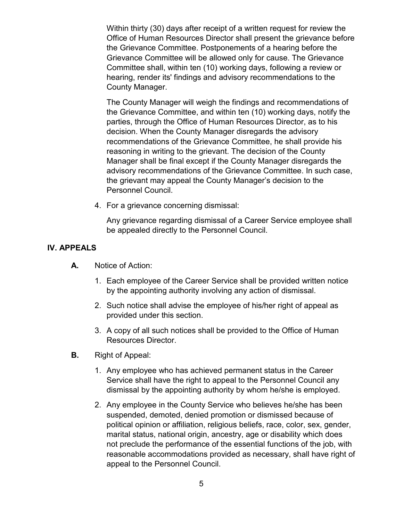Within thirty (30) days after receipt of a written request for review the Office of Human Resources Director shall present the grievance before the Grievance Committee. Postponements of a hearing before the Grievance Committee will be allowed only for cause. The Grievance Committee shall, within ten (10) working days, following a review or hearing, render its' findings and advisory recommendations to the County Manager.

The County Manager will weigh the findings and recommendations of the Grievance Committee, and within ten (10) working days, notify the parties, through the Office of Human Resources Director, as to his decision. When the County Manager disregards the advisory recommendations of the Grievance Committee, he shall provide his reasoning in writing to the grievant. The decision of the County Manager shall be final except if the County Manager disregards the advisory recommendations of the Grievance Committee. In such case, the grievant may appeal the County Manager's decision to the Personnel Council.

4. For a grievance concerning dismissal:

Any grievance regarding dismissal of a Career Service employee shall be appealed directly to the Personnel Council.

#### **IV. APPEALS**

- **A.** Notice of Action:
	- 1. Each employee of the Career Service shall be provided written notice by the appointing authority involving any action of dismissal.
	- 2. Such notice shall advise the employee of his/her right of appeal as provided under this section.
	- 3. A copy of all such notices shall be provided to the Office of Human Resources Director.
- **B.** Right of Appeal:
	- 1. Any employee who has achieved permanent status in the Career Service shall have the right to appeal to the Personnel Council any dismissal by the appointing authority by whom he/she is employed.
	- 2. Any employee in the County Service who believes he/she has been suspended, demoted, denied promotion or dismissed because of political opinion or affiliation, religious beliefs, race, color, sex, gender, marital status, national origin, ancestry, age or disability which does not preclude the performance of the essential functions of the job, with reasonable accommodations provided as necessary, shall have right of appeal to the Personnel Council.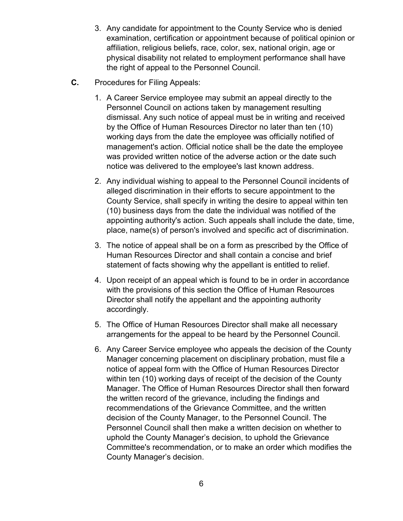- 3. Any candidate for appointment to the County Service who is denied examination, certification or appointment because of political opinion or affiliation, religious beliefs, race, color, sex, national origin, age or physical disability not related to employment performance shall have the right of appeal to the Personnel Council.
- **C.** Procedures for Filing Appeals:
	- 1. A Career Service employee may submit an appeal directly to the Personnel Council on actions taken by management resulting dismissal. Any such notice of appeal must be in writing and received by the Office of Human Resources Director no later than ten (10) working days from the date the employee was officially notified of management's action. Official notice shall be the date the employee was provided written notice of the adverse action or the date such notice was delivered to the employee's last known address.
	- 2. Any individual wishing to appeal to the Personnel Council incidents of alleged discrimination in their efforts to secure appointment to the County Service, shall specify in writing the desire to appeal within ten (10) business days from the date the individual was notified of the appointing authority's action. Such appeals shall include the date, time, place, name(s) of person's involved and specific act of discrimination.
	- 3. The notice of appeal shall be on a form as prescribed by the Office of Human Resources Director and shall contain a concise and brief statement of facts showing why the appellant is entitled to relief.
	- 4. Upon receipt of an appeal which is found to be in order in accordance with the provisions of this section the Office of Human Resources Director shall notify the appellant and the appointing authority accordingly.
	- 5. The Office of Human Resources Director shall make all necessary arrangements for the appeal to be heard by the Personnel Council.
	- 6. Any Career Service employee who appeals the decision of the County Manager concerning placement on disciplinary probation, must file a notice of appeal form with the Office of Human Resources Director within ten (10) working days of receipt of the decision of the County Manager. The Office of Human Resources Director shall then forward the written record of the grievance, including the findings and recommendations of the Grievance Committee, and the written decision of the County Manager, to the Personnel Council. The Personnel Council shall then make a written decision on whether to uphold the County Manager's decision, to uphold the Grievance Committee's recommendation, or to make an order which modifies the County Manager's decision.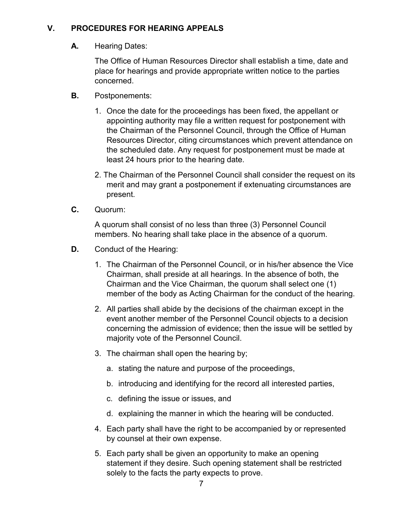# **V. PROCEDURES FOR HEARING APPEALS**

**A.** Hearing Dates:

The Office of Human Resources Director shall establish a time, date and place for hearings and provide appropriate written notice to the parties concerned.

- **B.** Postponements:
	- 1. Once the date for the proceedings has been fixed, the appellant or appointing authority may file a written request for postponement with the Chairman of the Personnel Council, through the Office of Human Resources Director, citing circumstances which prevent attendance on the scheduled date. Any request for postponement must be made at least 24 hours prior to the hearing date.
	- 2. The Chairman of the Personnel Council shall consider the request on its merit and may grant a postponement if extenuating circumstances are present.
- **C.** Quorum:

A quorum shall consist of no less than three (3) Personnel Council members. No hearing shall take place in the absence of a quorum.

- **D.** Conduct of the Hearing:
	- 1. The Chairman of the Personnel Council, or in his/her absence the Vice Chairman, shall preside at all hearings. In the absence of both, the Chairman and the Vice Chairman, the quorum shall select one (1) member of the body as Acting Chairman for the conduct of the hearing.
	- 2. All parties shall abide by the decisions of the chairman except in the event another member of the Personnel Council objects to a decision concerning the admission of evidence; then the issue will be settled by majority vote of the Personnel Council.
	- 3. The chairman shall open the hearing by;
		- a. stating the nature and purpose of the proceedings,
		- b. introducing and identifying for the record all interested parties,
		- c. defining the issue or issues, and
		- d. explaining the manner in which the hearing will be conducted.
	- 4. Each party shall have the right to be accompanied by or represented by counsel at their own expense.
	- 5. Each party shall be given an opportunity to make an opening statement if they desire. Such opening statement shall be restricted solely to the facts the party expects to prove.